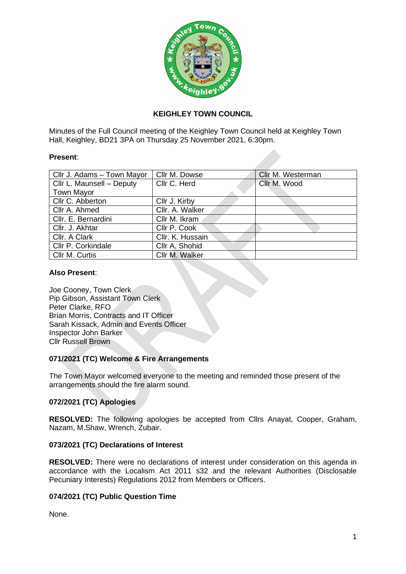

# **KEIGHLEY TOWN COUNCIL**

Minutes of the Full Council meeting of the Keighley Town Council held at Keighley Town Hall, Keighley, BD21 3PA on Thursday 25 November 2021, 6:30pm.

### **Present**:

| Cllr J. Adams - Town Mayor | Cllr M. Dowse    | Cllr M. Westerman |
|----------------------------|------------------|-------------------|
| Cllr L. Maunsell - Deputy  | Cllr C. Herd     | Cllr M. Wood      |
| <b>Town Mayor</b>          |                  |                   |
| Cllr C. Abberton           | Cllr J. Kirby    |                   |
| Cllr A. Ahmed              | Cllr. A. Walker  |                   |
| Cllr. E. Bernardini        | Cllr M. Ikram    |                   |
| Cllr. J. Akhtar            | Cllr P. Cook     |                   |
| Cllr. A Clark              | Cllr. K. Hussain |                   |
| Cllr P. Corkindale         | Cllr A. Shohid   |                   |
| Cllr M. Curtis             | Cllr M. Walker   |                   |

### **Also Present**:

Joe Cooney, Town Clerk Pip Gibson, Assistant Town Clerk Peter Clarke, RFO Brian Morris, Contracts and IT Officer Sarah Kissack, Admin and Events Officer Inspector John Barker Cllr Russell Brown

## **071/2021 (TC) Welcome & Fire Arrangements**

The Town Mayor welcomed everyone to the meeting and reminded those present of the arrangements should the fire alarm sound.

## **072/2021 (TC) Apologies**

**RESOLVED:** The following apologies be accepted from Cllrs Anayat, Cooper, Graham, Nazam, M.Shaw, Wrench, Zubair.

## **073/2021 (TC) Declarations of Interest**

**RESOLVED:** There were no declarations of interest under consideration on this agenda in accordance with the Localism Act 2011 s32 and the relevant Authorities (Disclosable Pecuniary Interests) Regulations 2012 from Members or Officers.

## **074/2021 (TC) Public Question Time**

None.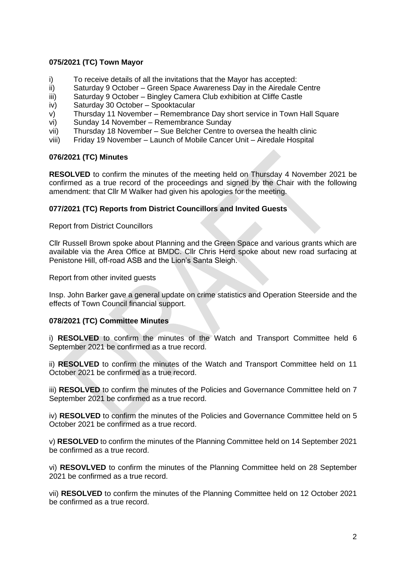# **075/2021 (TC) Town Mayor**

- i) To receive details of all the invitations that the Mayor has accepted:
- ii) Saturday 9 October Green Space Awareness Day in the Airedale Centre
- iii) Saturday 9 October Bingley Camera Club exhibition at Cliffe Castle
- iv) Saturday 30 October Spooktacular
- v) Thursday 11 November Remembrance Day short service in Town Hall Square
- vi) Sunday 14 November Remembrance Sunday
- vii) Thursday 18 November Sue Belcher Centre to oversea the health clinic
- viii) Friday 19 November Launch of Mobile Cancer Unit Airedale Hospital

## **076/2021 (TC) Minutes**

**RESOLVED** to confirm the minutes of the meeting held on Thursday 4 November 2021 be confirmed as a true record of the proceedings and signed by the Chair with the following amendment: that Cllr M Walker had given his apologies for the meeting.

### **077/2021 (TC) Reports from District Councillors and Invited Guests**

Report from District Councillors

Cllr Russell Brown spoke about Planning and the Green Space and various grants which are available via the Area Office at BMDC. Cllr Chris Herd spoke about new road surfacing at Penistone Hill, off-road ASB and the Lion's Santa Sleigh.

Report from other invited guests

Insp. John Barker gave a general update on crime statistics and Operation Steerside and the effects of Town Council financial support.

## **078/2021 (TC) Committee Minutes**

i) **RESOLVED** to confirm the minutes of the Watch and Transport Committee held 6 September 2021 be confirmed as a true record.

ii) **RESOLVED** to confirm the minutes of the Watch and Transport Committee held on 11 October 2021 be confirmed as a true record.

iii) **RESOLVED** to confirm the minutes of the Policies and Governance Committee held on 7 September 2021 be confirmed as a true record.

iv) **RESOLVED** to confirm the minutes of the Policies and Governance Committee held on 5 October 2021 be confirmed as a true record.

v) **RESOLVED** to confirm the minutes of the Planning Committee held on 14 September 2021 be confirmed as a true record.

vi) **RESOVLVED** to confirm the minutes of the Planning Committee held on 28 September 2021 be confirmed as a true record.

vii) **RESOLVED** to confirm the minutes of the Planning Committee held on 12 October 2021 be confirmed as a true record.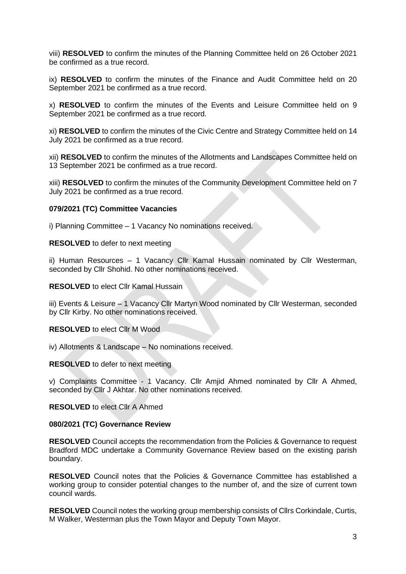viii) **RESOLVED** to confirm the minutes of the Planning Committee held on 26 October 2021 be confirmed as a true record.

ix) **RESOLVED** to confirm the minutes of the Finance and Audit Committee held on 20 September 2021 be confirmed as a true record.

x) **RESOLVED** to confirm the minutes of the Events and Leisure Committee held on 9 September 2021 be confirmed as a true record.

xi) **RESOLVED** to confirm the minutes of the Civic Centre and Strategy Committee held on 14 July 2021 be confirmed as a true record.

xii) **RESOLVED** to confirm the minutes of the Allotments and Landscapes Committee held on 13 September 2021 be confirmed as a true record.

xiii) **RESOLVED** to confirm the minutes of the Community Development Committee held on 7 July 2021 be confirmed as a true record.

### **079/2021 (TC) Committee Vacancies**

i) Planning Committee – 1 Vacancy No nominations received.

**RESOLVED** to defer to next meeting

ii) Human Resources – 1 Vacancy Cllr Kamal Hussain nominated by Cllr Westerman, seconded by Cllr Shohid. No other nominations received.

**RESOLVED** to elect Cllr Kamal Hussain

iii) Events & Leisure – 1 Vacancy Cllr Martyn Wood nominated by Cllr Westerman, seconded by Cllr Kirby. No other nominations received.

**RESOLVED** to elect Cllr M Wood

iv) Allotments & Landscape – No nominations received.

**RESOLVED** to defer to next meeting

v) Complaints Committee - 1 Vacancy. Cllr Amjid Ahmed nominated by Cllr A Ahmed, seconded by Cllr J Akhtar. No other nominations received.

**RESOLVED** to elect Cllr A Ahmed

### **080/2021 (TC) Governance Review**

**RESOLVED** Council accepts the recommendation from the Policies & Governance to request Bradford MDC undertake a Community Governance Review based on the existing parish boundary.

**RESOLVED** Council notes that the Policies & Governance Committee has established a working group to consider potential changes to the number of, and the size of current town council wards.

**RESOLVED** Council notes the working group membership consists of Cllrs Corkindale, Curtis, M Walker, Westerman plus the Town Mayor and Deputy Town Mayor.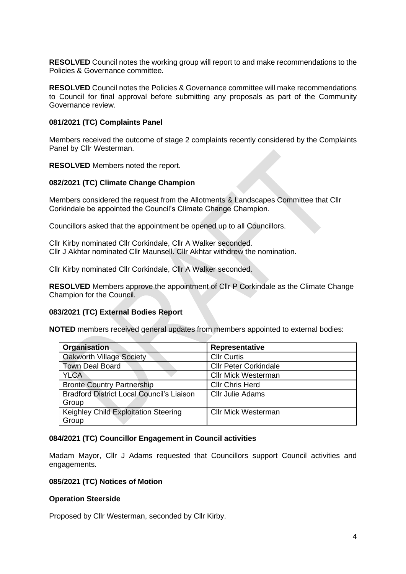**RESOLVED** Council notes the working group will report to and make recommendations to the Policies & Governance committee.

**RESOLVED** Council notes the Policies & Governance committee will make recommendations to Council for final approval before submitting any proposals as part of the Community Governance review.

### **081/2021 (TC) Complaints Panel**

Members received the outcome of stage 2 complaints recently considered by the Complaints Panel by Cllr Westerman.

**RESOLVED** Members noted the report.

### **082/2021 (TC) Climate Change Champion**

Members considered the request from the Allotments & Landscapes Committee that Cllr Corkindale be appointed the Council's Climate Change Champion.

Councillors asked that the appointment be opened up to all Councillors.

Cllr Kirby nominated Cllr Corkindale, Cllr A Walker seconded. Cllr J Akhtar nominated Cllr Maunsell. Cllr Akhtar withdrew the nomination.

Cllr Kirby nominated Cllr Corkindale, Cllr A Walker seconded.

**RESOLVED** Members approve the appointment of Cllr P Corkindale as the Climate Change Champion for the Council.

### **083/2021 (TC) External Bodies Report**

**NOTED** members received general updates from members appointed to external bodies:

| Organisation                                     | Representative               |
|--------------------------------------------------|------------------------------|
| <b>Oakworth Village Society</b>                  | <b>Cllr Curtis</b>           |
| <b>Town Deal Board</b>                           | <b>Cllr Peter Corkindale</b> |
| <b>YLCA</b>                                      | <b>Cllr Mick Westerman</b>   |
| <b>Bronte Country Partnership</b>                | <b>Cllr Chris Herd</b>       |
| <b>Bradford District Local Council's Liaison</b> | <b>Cllr Julie Adams</b>      |
| Group                                            |                              |
| Keighley Child Exploitation Steering             | <b>Cllr Mick Westerman</b>   |
| Group                                            |                              |

### **084/2021 (TC) Councillor Engagement in Council activities**

Madam Mayor, Cllr J Adams requested that Councillors support Council activities and engagements.

### **085/2021 (TC) Notices of Motion**

### **Operation Steerside**

Proposed by Cllr Westerman, seconded by Cllr Kirby.